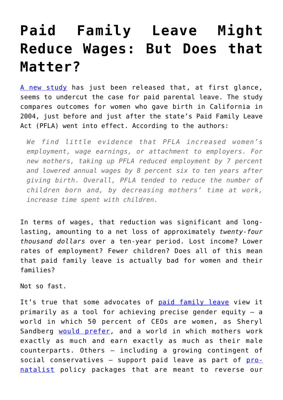## **[Paid Family Leave Might](https://intellectualtakeout.org/2019/11/paid-family-leave-might-reduce-wages-but-does-that-matter/) [Reduce Wages: But Does that](https://intellectualtakeout.org/2019/11/paid-family-leave-might-reduce-wages-but-does-that-matter/) [Matter?](https://intellectualtakeout.org/2019/11/paid-family-leave-might-reduce-wages-but-does-that-matter/)**

[A new study](http://www-personal.umich.edu/~baileymj/Bailey_Byker_Patel_Ramnath.pdf) has just been released that, at first glance, seems to undercut the case for paid parental leave. The study compares outcomes for women who gave birth in California in 2004, just before and just after the state's Paid Family Leave Act (PFLA) went into effect. According to the authors:

*We find little evidence that PFLA increased women's employment, wage earnings, or attachment to employers. For new mothers, taking up PFLA reduced employment by 7 percent and lowered annual wages by 8 percent six to ten years after giving birth. Overall, PFLA tended to reduce the number of children born and, by decreasing mothers' time at work, increase time spent with children.*

In terms of wages, that reduction was significant and longlasting, amounting to a net loss of approximately *twenty-four thousand dollars* over a ten-year period. Lost income? Lower rates of employment? Fewer children? Does all of this mean that paid family leave is actually bad for women and their families?

Not so fast.

It's true that some advocates of [paid family leave](http://www.nationalpartnership.org/our-work/resources/economic-justice/fair-pay/paid-leave-will-help-close-gender-wage-gap.pdf) view it primarily as a tool for achieving precise gender equity – a world in which 50 percent of CEOs are women, as Sheryl Sandberg [would prefer,](http://ideas.time.com/2013/03/07/why-i-want-women-to-lean-in/) and a world in which mothers work exactly as much and earn exactly as much as their male counterparts. Others – including a growing contingent of social conservatives  $-$  support paid leave as part of  $\frac{p}{r}$ [natalist](https://www.theatlantic.com/politics/archive/2017/12/pro-natalism/547493/) policy packages that are meant to reverse our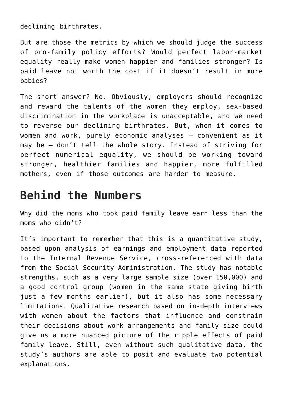declining birthrates.

But are those the metrics by which we should judge the success of pro-family policy efforts? Would perfect labor-market equality really make women happier and families stronger? Is paid leave not worth the cost if it doesn't result in more babies?

The short answer? No. Obviously, employers should recognize and reward the talents of the women they employ, sex-based discrimination in the workplace is unacceptable, and we need to reverse our declining birthrates. But, when it comes to women and work, purely economic analyses – convenient as it may be – don't tell the whole story. Instead of striving for perfect numerical equality, we should be working toward stronger, healthier families and happier, more fulfilled mothers, even if those outcomes are harder to measure.

## **Behind the Numbers**

Why did the moms who took paid family leave earn less than the moms who didn't?

It's important to remember that this is a quantitative study, based upon analysis of earnings and employment data reported to the Internal Revenue Service, cross-referenced with data from the Social Security Administration. The study has notable strengths, such as a very large sample size (over 150,000) and a good control group (women in the same state giving birth just a few months earlier), but it also has some necessary limitations. Qualitative research based on in-depth interviews with women about the factors that influence and constrain their decisions about work arrangements and family size could give us a more nuanced picture of the ripple effects of paid family leave. Still, even without such qualitative data, the study's authors are able to posit and evaluate two potential explanations.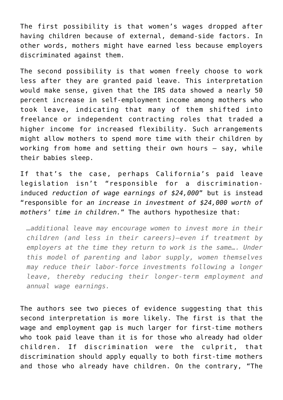The first possibility is that women's wages dropped after having children because of external, demand-side factors. In other words, mothers might have earned less because employers discriminated against them.

The second possibility is that women freely choose to work less after they are granted paid leave. This interpretation would make sense, given that the IRS data showed a nearly 50 percent increase in self-employment income among mothers who took leave, indicating that many of them shifted into freelance or independent contracting roles that traded a higher income for increased flexibility. Such arrangements might allow mothers to spend more time with their children by working from home and setting their own hours – say, while their babies sleep.

If that's the case, perhaps California's paid leave legislation isn't "responsible for a discriminationinduced *reduction of wage earnings of \$24,000*" but is instead "responsible for *an increase in investment of \$24,000 worth of mothers' time in children.*" The authors hypothesize that:

*…additional leave may encourage women to invest more in their children (and less in their careers)—even if treatment by employers at the time they return to work is the same…. Under this model of parenting and labor supply, women themselves may reduce their labor-force investments following a longer leave, thereby reducing their longer-term employment and annual wage earnings.*

The authors see two pieces of evidence suggesting that this second interpretation is more likely. The first is that the wage and employment gap is much larger for first-time mothers who took paid leave than it is for those who already had older children. If discrimination were the culprit, that discrimination should apply equally to both first-time mothers and those who already have children. On the contrary, "The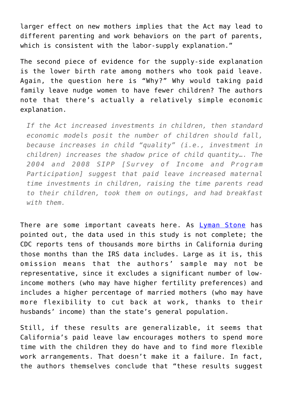larger effect on new mothers implies that the Act may lead to different parenting and work behaviors on the part of parents, which is consistent with the labor-supply explanation."

The second piece of evidence for the supply-side explanation is the lower birth rate among mothers who took paid leave. Again, the question here is "Why?" Why would taking paid family leave nudge women to have fewer children? The authors note that there's actually a relatively simple economic explanation.

*If the Act increased investments in children, then standard economic models posit the number of children should fall, because increases in child "quality" (i.e., investment in children) increases the shadow price of child quantity…. The 2004 and 2008 SIPP [Survey of Income and Program Participation] suggest that paid leave increased maternal time investments in children, raising the time parents read to their children, took them on outings, and had breakfast with them.*

There are some important caveats here. As [Lyman Stone](https://twitter.com/lymanstoneky/status/1189342420246380544) has pointed out, the data used in this study is not complete; the CDC reports tens of thousands more births in California during those months than the IRS data includes. Large as it is, this omission means that the authors' sample may not be representative, since it excludes a significant number of lowincome mothers (who may have higher fertility preferences) and includes a higher percentage of married mothers (who may have more flexibility to cut back at work, thanks to their husbands' income) than the state's general population.

Still, if these results are generalizable, it seems that California's paid leave law encourages mothers to spend more time with the children they do have and to find more flexible work arrangements. That doesn't make it a failure. In fact, the authors themselves conclude that "these results suggest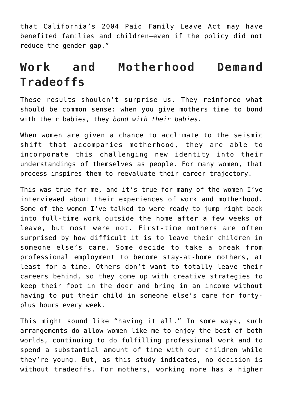that California's 2004 Paid Family Leave Act may have benefited families and children—even if the policy did not reduce the gender gap."

## **Work and Motherhood Demand Tradeoffs**

These results shouldn't surprise us. They reinforce what should be common sense: when you give mothers time to bond with their babies, they *bond with their babies.* 

When women are given a chance to acclimate to the seismic shift that accompanies motherhood, they are able to incorporate this challenging new identity into their understandings of themselves as people. For many women, that process inspires them to reevaluate their career trajectory.

This was true for me, and it's true for many of the women I've interviewed about their experiences of work and motherhood. Some of the women I've talked to were ready to jump right back into full-time work outside the home after a few weeks of leave, but most were not. First-time mothers are often surprised by how difficult it is to leave their children in someone else's care. Some decide to take a break from professional employment to become stay-at-home mothers, at least for a time. Others don't want to totally leave their careers behind, so they come up with creative strategies to keep their foot in the door and bring in an income without having to put their child in someone else's care for fortyplus hours every week.

This might sound like "having it all." In some ways, such arrangements do allow women like me to enjoy the best of both worlds, continuing to do fulfilling professional work and to spend a substantial amount of time with our children while they're young. But, as this study indicates, no decision is without tradeoffs. For mothers, working more has a higher